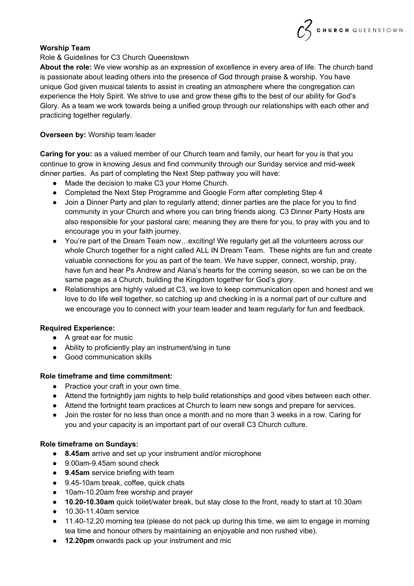## **Worship Team**

#### Role & Guidelines for C3 Church Queenstown

**About the role:** We view worship as an expression of excellence in every area of life. The church band is passionate about leading others into the presence of God through praise & worship. You have unique God given musical talents to assist in creating an atmosphere where the congregation can experience the Holy Spirit. We strive to use and grow these gifts to the best of our ability for God's Glory. As a team we work towards being a unified group through our relationships with each other and practicing together regularly.

CHURCH QUEENSTOWN

#### **Overseen by:** Worship team leader

**Caring for you:** as a valued member of our Church team and family, our heart for you is that you continue to grow in knowing Jesus and find community through our Sunday service and mid-week dinner parties. As part of completing the Next Step pathway you will have:

- Made the decision to make C3 your Home Church.
- Completed the Next Step Programme and Google Form after completing Step 4
- Join a Dinner Party and plan to regularly attend; dinner parties are the place for you to find community in your Church and where you can bring friends along. C3 Dinner Party Hosts are also responsible for your pastoral care; meaning they are there for you, to pray with you and to encourage you in your faith journey.
- You're part of the Dream Team now…exciting! We regularly get all the volunteers across our whole Church together for a night called ALL IN Dream Team. These nights are fun and create valuable connections for you as part of the team. We have supper, connect, worship, pray, have fun and hear Ps Andrew and Alana's hearts for the coming season, so we can be on the same page as a Church, building the Kingdom together for God's glory.
- Relationships are highly valued at C3, we love to keep communication open and honest and we love to do life well together, so catching up and checking in is a normal part of our culture and we encourage you to connect with your team leader and team regularly for fun and feedback.

#### **Required Experience:**

- A great ear for music
- Ability to proficiently play an instrument/sing in tune
- Good communication skills

#### **Role timeframe and time commitment:**

- Practice your craft in your own time.
- Attend the fortnightly jam nights to help build relationships and good vibes between each other.
- Attend the fortnight team practices at Church to learn new songs and prepare for services.
- Join the roster for no less than once a month and no more than 3 weeks in a row. Caring for you and your capacity is an important part of our overall C3 Church culture.

#### **Role timeframe on Sundays:**

- **● 8.45am** arrive and set up your instrument and/or microphone
- 9.00am-9.45am sound check
- **9.45am** service briefing with team
- 9.45-10am break, coffee, quick chats
- 10am-10.20am free worship and prayer
- **10.20-10.30am** quick toilet/water break, but stay close to the front, ready to start at 10.30am
- 10.30-11.40am service
- 11.40-12.20 morning tea (please do not pack up during this time, we aim to engage in morning tea time and honour others by maintaining an enjoyable and non rushed vibe).
- **12.20pm** onwards pack up your instrument and mic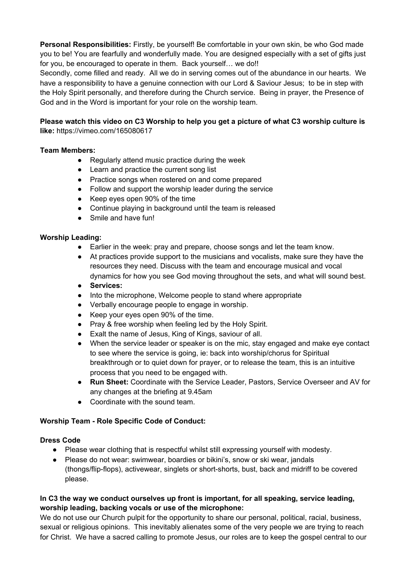**Personal Responsibilities:** Firstly, be yourself! Be comfortable in your own skin, be who God made you to be! You are fearfully and wonderfully made. You are designed especially with a set of gifts just for you, be encouraged to operate in them. Back yourself... we do!!

Secondly, come filled and ready. All we do in serving comes out of the abundance in our hearts. We have a responsibility to have a genuine connection with our Lord & Saviour Jesus; to be in step with the Holy Spirit personally, and therefore during the Church service. Being in prayer, the Presence of God and in the Word is important for your role on the worship team.

# **Please watch this video on C3 Worship to help you get a picture of what C3 worship culture is like:** https://vimeo.com/165080617

# **Team Members:**

- Regularly attend music practice during the week
- Learn and practice the current song list
- Practice songs when rostered on and come prepared
- Follow and support the worship leader during the service
- Keep eyes open 90% of the time
- Continue playing in background until the team is released
- Smile and have fun!

## **Worship Leading:**

- Earlier in the week: pray and prepare, choose songs and let the team know.
- At practices provide support to the musicians and vocalists, make sure they have the resources they need. Discuss with the team and encourage musical and vocal dynamics for how you see God moving throughout the sets, and what will sound best.
- **Services:**
- Into the microphone, Welcome people to stand where appropriate
- Verbally encourage people to engage in worship.
- Keep your eyes open 90% of the time.
- Pray & free worship when feeling led by the Holy Spirit.
- Exalt the name of Jesus, King of Kings, saviour of all.
- When the service leader or speaker is on the mic, stay engaged and make eye contact to see where the service is going, ie: back into worship/chorus for Spiritual breakthrough or to quiet down for prayer, or to release the team, this is an intuitive process that you need to be engaged with.
- **Run Sheet:** Coordinate with the Service Leader, Pastors, Service Overseer and AV for any changes at the briefing at 9.45am
- Coordinate with the sound team.

## **Worship Team - Role Specific Code of Conduct:**

## **Dress Code**

- Please wear clothing that is respectful whilst still expressing yourself with modesty.
- Please do not wear: swimwear, boardies or bikini's, snow or ski wear, jandals (thongs/flip-flops), activewear, singlets or short-shorts, bust, back and midriff to be covered please.

## **In C3 the way we conduct ourselves up front is important, for all speaking, service leading, worship leading, backing vocals or use of the microphone:**

We do not use our Church pulpit for the opportunity to share our personal, political, racial, business, sexual or religious opinions. This inevitably alienates some of the very people we are trying to reach for Christ. We have a sacred calling to promote Jesus, our roles are to keep the gospel central to our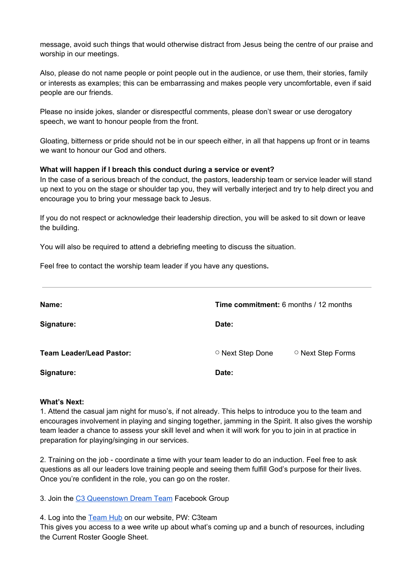message, avoid such things that would otherwise distract from Jesus being the centre of our praise and worship in our meetings.

Also, please do not name people or point people out in the audience, or use them, their stories, family or interests as examples; this can be embarrassing and makes people very uncomfortable, even if said people are our friends.

Please no inside jokes, slander or disrespectful comments, please don't swear or use derogatory speech, we want to honour people from the front.

Gloating, bitterness or pride should not be in our speech either, in all that happens up front or in teams we want to honour our God and others.

#### **What will happen if I breach this conduct during a service or event?**

In the case of a serious breach of the conduct, the pastors, leadership team or service leader will stand up next to you on the stage or shoulder tap you, they will verbally interject and try to help direct you and encourage you to bring your message back to Jesus.

If you do not respect or acknowledge their leadership direction, you will be asked to sit down or leave the building.

You will also be required to attend a debriefing meeting to discuss the situation.

Feel free to contact the worship team leader if you have any questions**.**

| Name:                           | <b>Time commitment:</b> 6 months / 12 months |                   |
|---------------------------------|----------------------------------------------|-------------------|
| Signature:                      | Date:                                        |                   |
| <b>Team Leader/Lead Pastor:</b> | ○ Next Step Done                             | ○ Next Step Forms |
| Signature:                      | Date:                                        |                   |

#### **What's Next:**

1. Attend the casual jam night for muso's, if not already. This helps to introduce you to the team and encourages involvement in playing and singing together, jamming in the Spirit. It also gives the worship team leader a chance to assess your skill level and when it will work for you to join in at practice in preparation for playing/singing in our services.

2. Training on the job - coordinate a time with your team leader to do an induction. Feel free to ask questions as all our leaders love training people and seeing them fulfill God's purpose for their lives. Once you're confident in the role, you can go on the roster.

3. Join the [C3 Queenstown Dream Team](https://www.facebook.com/groups/135838570464911) Facebook Group

4. Log into the [Team Hub](https://www.c3churchqueenstown.org/team-log-in) on our website, PW: C3team

This gives you access to a wee write up about what's coming up and a bunch of resources, including the Current Roster Google Sheet.